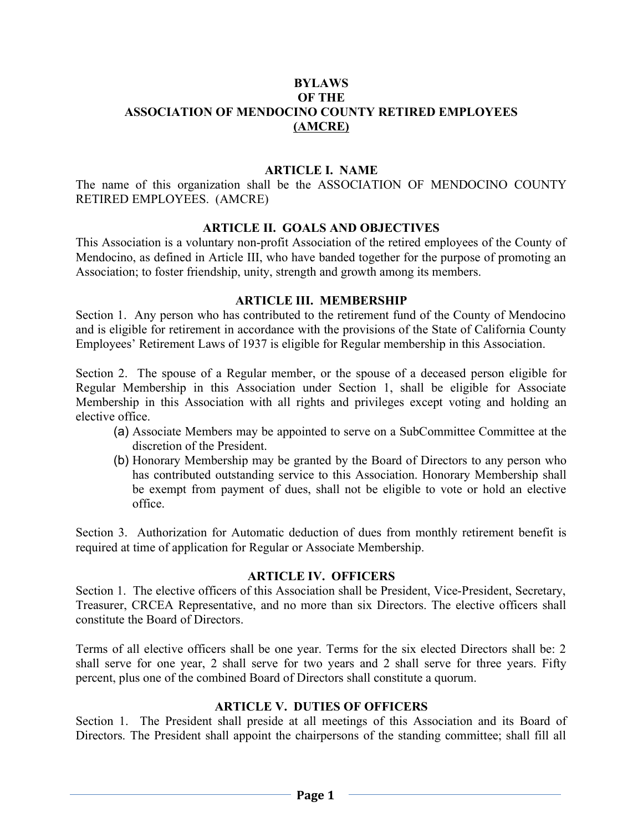### BYLAWS OF THE ASSOCIATION OF MENDOCINO COUNTY RETIRED EMPLOYEES (AMCRE)

#### ARTICLE I. NAME

The name of this organization shall be the ASSOCIATION OF MENDOCINO COUNTY RETIRED EMPLOYEES. (AMCRE)

#### ARTICLE II. GOALS AND OBJECTIVES

This Association is a voluntary non-profit Association of the retired employees of the County of Mendocino, as defined in Article III, who have banded together for the purpose of promoting an Association; to foster friendship, unity, strength and growth among its members.

#### ARTICLE III. MEMBERSHIP

Section 1. Any person who has contributed to the retirement fund of the County of Mendocino and is eligible for retirement in accordance with the provisions of the State of California County Employees' Retirement Laws of 1937 is eligible for Regular membership in this Association.

Section 2. The spouse of a Regular member, or the spouse of a deceased person eligible for Regular Membership in this Association under Section 1, shall be eligible for Associate Membership in this Association with all rights and privileges except voting and holding an elective office.

- (a) Associate Members may be appointed to serve on a SubCommittee Committee at the discretion of the President.
- (b) Honorary Membership may be granted by the Board of Directors to any person who has contributed outstanding service to this Association. Honorary Membership shall be exempt from payment of dues, shall not be eligible to vote or hold an elective office.

Section 3. Authorization for Automatic deduction of dues from monthly retirement benefit is required at time of application for Regular or Associate Membership.

### ARTICLE IV. OFFICERS

Section 1. The elective officers of this Association shall be President, Vice-President, Secretary, Treasurer, CRCEA Representative, and no more than six Directors. The elective officers shall constitute the Board of Directors.

Terms of all elective officers shall be one year. Terms for the six elected Directors shall be: 2 shall serve for one year, 2 shall serve for two years and 2 shall serve for three years. Fifty percent, plus one of the combined Board of Directors shall constitute a quorum.

### ARTICLE V. DUTIES OF OFFICERS

Section 1. The President shall preside at all meetings of this Association and its Board of Directors. The President shall appoint the chairpersons of the standing committee; shall fill all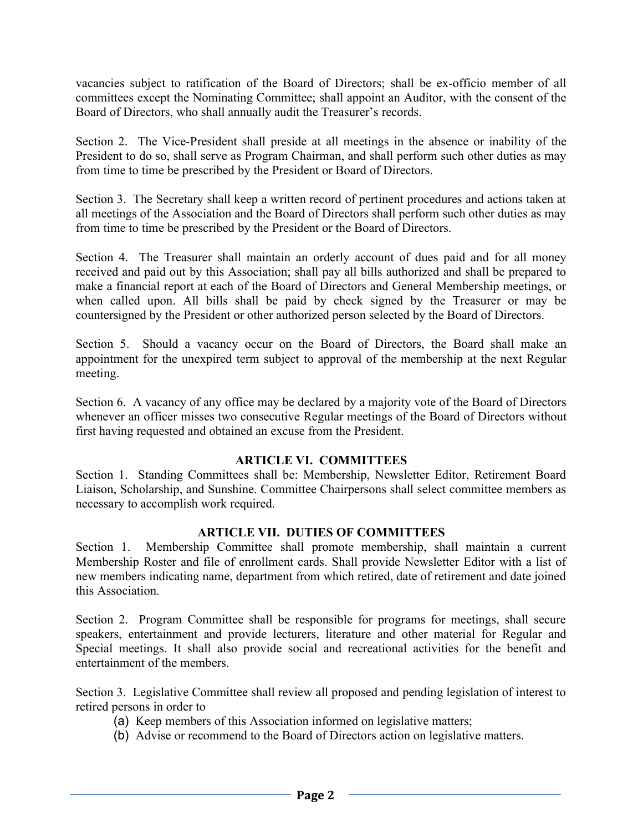vacancies subject to ratification of the Board of Directors; shall be ex-officio member of all committees except the Nominating Committee; shall appoint an Auditor, with the consent of the Board of Directors, who shall annually audit the Treasurer's records.

Section 2. The Vice-President shall preside at all meetings in the absence or inability of the President to do so, shall serve as Program Chairman, and shall perform such other duties as may from time to time be prescribed by the President or Board of Directors.

Section 3. The Secretary shall keep a written record of pertinent procedures and actions taken at all meetings of the Association and the Board of Directors shall perform such other duties as may from time to time be prescribed by the President or the Board of Directors.

Section 4. The Treasurer shall maintain an orderly account of dues paid and for all money received and paid out by this Association; shall pay all bills authorized and shall be prepared to make a financial report at each of the Board of Directors and General Membership meetings, or when called upon. All bills shall be paid by check signed by the Treasurer or may be countersigned by the President or other authorized person selected by the Board of Directors.

Section 5. Should a vacancy occur on the Board of Directors, the Board shall make an appointment for the unexpired term subject to approval of the membership at the next Regular meeting.

Section 6. A vacancy of any office may be declared by a majority vote of the Board of Directors whenever an officer misses two consecutive Regular meetings of the Board of Directors without first having requested and obtained an excuse from the President.

# ARTICLE VI. COMMITTEES

Section 1. Standing Committees shall be: Membership, Newsletter Editor, Retirement Board Liaison, Scholarship, and Sunshine. Committee Chairpersons shall select committee members as necessary to accomplish work required.

# ARTICLE VII. DUTIES OF COMMITTEES

Section 1. Membership Committee shall promote membership, shall maintain a current Membership Roster and file of enrollment cards. Shall provide Newsletter Editor with a list of new members indicating name, department from which retired, date of retirement and date joined this Association.

Section 2. Program Committee shall be responsible for programs for meetings, shall secure speakers, entertainment and provide lecturers, literature and other material for Regular and Special meetings. It shall also provide social and recreational activities for the benefit and entertainment of the members.

Section 3. Legislative Committee shall review all proposed and pending legislation of interest to retired persons in order to

- (a) Keep members of this Association informed on legislative matters;
- (b) Advise or recommend to the Board of Directors action on legislative matters.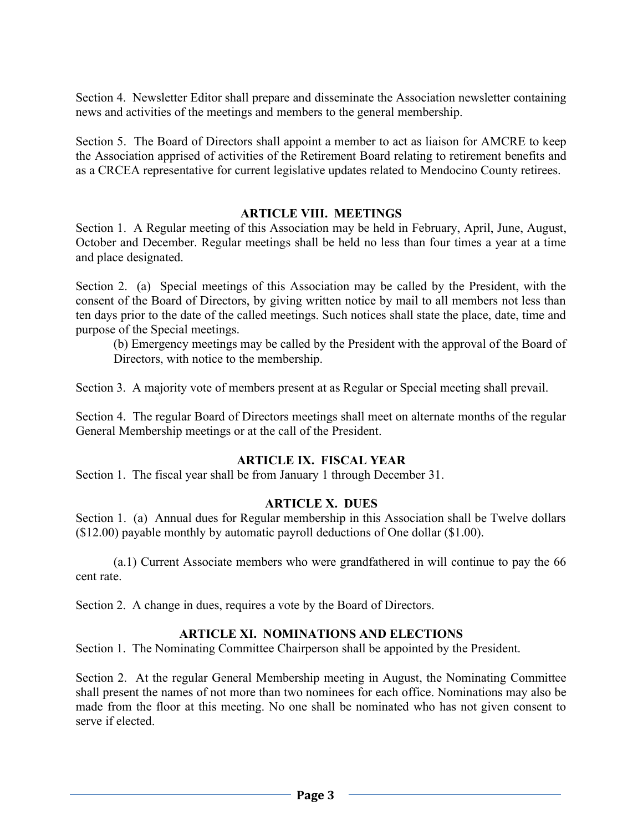Section 4. Newsletter Editor shall prepare and disseminate the Association newsletter containing news and activities of the meetings and members to the general membership.

Section 5. The Board of Directors shall appoint a member to act as liaison for AMCRE to keep the Association apprised of activities of the Retirement Board relating to retirement benefits and as a CRCEA representative for current legislative updates related to Mendocino County retirees.

### ARTICLE VIII. MEETINGS

Section 1. A Regular meeting of this Association may be held in February, April, June, August, October and December. Regular meetings shall be held no less than four times a year at a time and place designated.

Section 2. (a) Special meetings of this Association may be called by the President, with the consent of the Board of Directors, by giving written notice by mail to all members not less than ten days prior to the date of the called meetings. Such notices shall state the place, date, time and purpose of the Special meetings.

(b) Emergency meetings may be called by the President with the approval of the Board of Directors, with notice to the membership.

Section 3. A majority vote of members present at as Regular or Special meeting shall prevail.

Section 4. The regular Board of Directors meetings shall meet on alternate months of the regular General Membership meetings or at the call of the President.

### ARTICLE IX. FISCAL YEAR

Section 1. The fiscal year shall be from January 1 through December 31.

### ARTICLE X. DUES

Section 1. (a) Annual dues for Regular membership in this Association shall be Twelve dollars (\$12.00) payable monthly by automatic payroll deductions of One dollar (\$1.00).

(a.1) Current Associate members who were grandfathered in will continue to pay the 66 cent rate.

Section 2. A change in dues, requires a vote by the Board of Directors.

### ARTICLE XI. NOMINATIONS AND ELECTIONS

Section 1. The Nominating Committee Chairperson shall be appointed by the President.

Section 2. At the regular General Membership meeting in August, the Nominating Committee shall present the names of not more than two nominees for each office. Nominations may also be made from the floor at this meeting. No one shall be nominated who has not given consent to serve if elected.